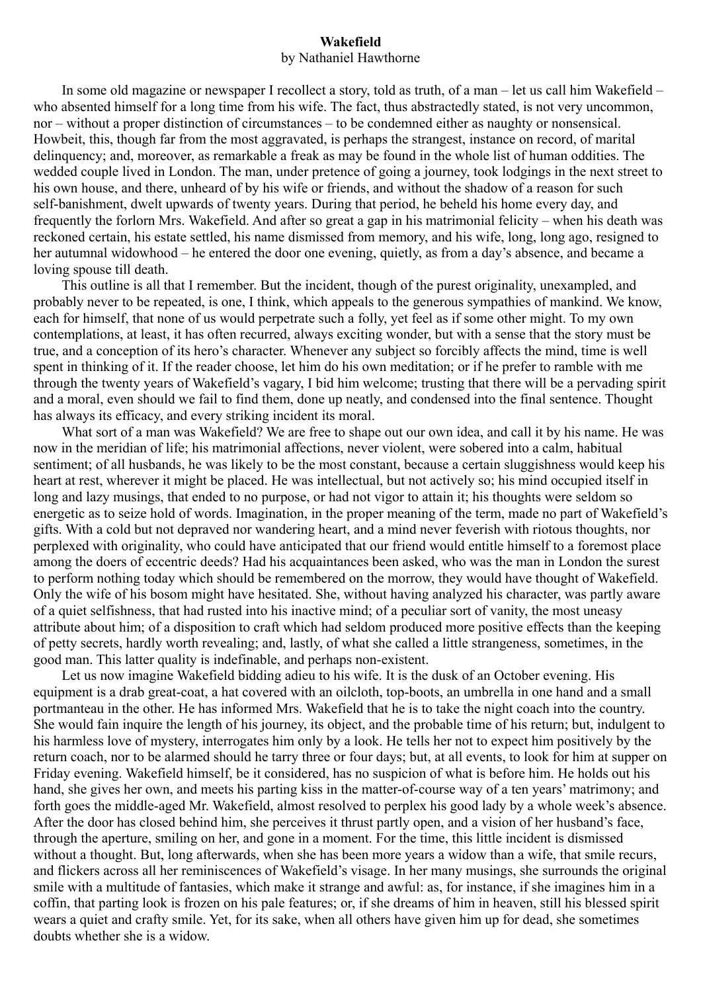## **Wakefield**  by Nathaniel Hawthorne

In some old magazine or newspaper I recollect a story, told as truth, of a man – let us call him Wakefield – who absented himself for a long time from his wife. The fact, thus abstractedly stated, is not very uncommon, nor – without a proper distinction of circumstances – to be condemned either as naughty or nonsensical. Howbeit, this, though far from the most aggravated, is perhaps the strangest, instance on record, of marital delinquency; and, moreover, as remarkable a freak as may be found in the whole list of human oddities. The wedded couple lived in London. The man, under pretence of going a journey, took lodgings in the next street to his own house, and there, unheard of by his wife or friends, and without the shadow of a reason for such self-banishment, dwelt upwards of twenty years. During that period, he beheld his home every day, and frequently the forlorn Mrs. Wakefield. And after so great a gap in his matrimonial felicity – when his death was reckoned certain, his estate settled, his name dismissed from memory, and his wife, long, long ago, resigned to her autumnal widowhood – he entered the door one evening, quietly, as from a day's absence, and became a loving spouse till death.

This outline is all that I remember. But the incident, though of the purest originality, unexampled, and probably never to be repeated, is one, I think, which appeals to the generous sympathies of mankind. We know, each for himself, that none of us would perpetrate such a folly, yet feel as if some other might. To my own contemplations, at least, it has often recurred, always exciting wonder, but with a sense that the story must be true, and a conception of its hero's character. Whenever any subject so forcibly affects the mind, time is well spent in thinking of it. If the reader choose, let him do his own meditation; or if he prefer to ramble with me through the twenty years of Wakefield's vagary, I bid him welcome; trusting that there will be a pervading spirit and a moral, even should we fail to find them, done up neatly, and condensed into the final sentence. Thought has always its efficacy, and every striking incident its moral.

What sort of a man was Wakefield? We are free to shape out our own idea, and call it by his name. He was now in the meridian of life; his matrimonial affections, never violent, were sobered into a calm, habitual sentiment; of all husbands, he was likely to be the most constant, because a certain sluggishness would keep his heart at rest, wherever it might be placed. He was intellectual, but not actively so; his mind occupied itself in long and lazy musings, that ended to no purpose, or had not vigor to attain it; his thoughts were seldom so energetic as to seize hold of words. Imagination, in the proper meaning of the term, made no part of Wakefield's gifts. With a cold but not depraved nor wandering heart, and a mind never feverish with riotous thoughts, nor perplexed with originality, who could have anticipated that our friend would entitle himself to a foremost place among the doers of eccentric deeds? Had his acquaintances been asked, who was the man in London the surest to perform nothing today which should be remembered on the morrow, they would have thought of Wakefield. Only the wife of his bosom might have hesitated. She, without having analyzed his character, was partly aware of a quiet selfishness, that had rusted into his inactive mind; of a peculiar sort of vanity, the most uneasy attribute about him; of a disposition to craft which had seldom produced more positive effects than the keeping of petty secrets, hardly worth revealing; and, lastly, of what she called a little strangeness, sometimes, in the good man. This latter quality is indefinable, and perhaps non-existent.

Let us now imagine Wakefield bidding adieu to his wife. It is the dusk of an October evening. His equipment is a drab great-coat, a hat covered with an oilcloth, top-boots, an umbrella in one hand and a small portmanteau in the other. He has informed Mrs. Wakefield that he is to take the night coach into the country. She would fain inquire the length of his journey, its object, and the probable time of his return; but, indulgent to his harmless love of mystery, interrogates him only by a look. He tells her not to expect him positively by the return coach, nor to be alarmed should he tarry three or four days; but, at all events, to look for him at supper on Friday evening. Wakefield himself, be it considered, has no suspicion of what is before him. He holds out his hand, she gives her own, and meets his parting kiss in the matter-of-course way of a ten years' matrimony; and forth goes the middle-aged Mr. Wakefield, almost resolved to perplex his good lady by a whole week's absence. After the door has closed behind him, she perceives it thrust partly open, and a vision of her husband's face, through the aperture, smiling on her, and gone in a moment. For the time, this little incident is dismissed without a thought. But, long afterwards, when she has been more years a widow than a wife, that smile recurs, and flickers across all her reminiscences of Wakefield's visage. In her many musings, she surrounds the original smile with a multitude of fantasies, which make it strange and awful: as, for instance, if she imagines him in a coffin, that parting look is frozen on his pale features; or, if she dreams of him in heaven, still his blessed spirit wears a quiet and crafty smile. Yet, for its sake, when all others have given him up for dead, she sometimes doubts whether she is a widow.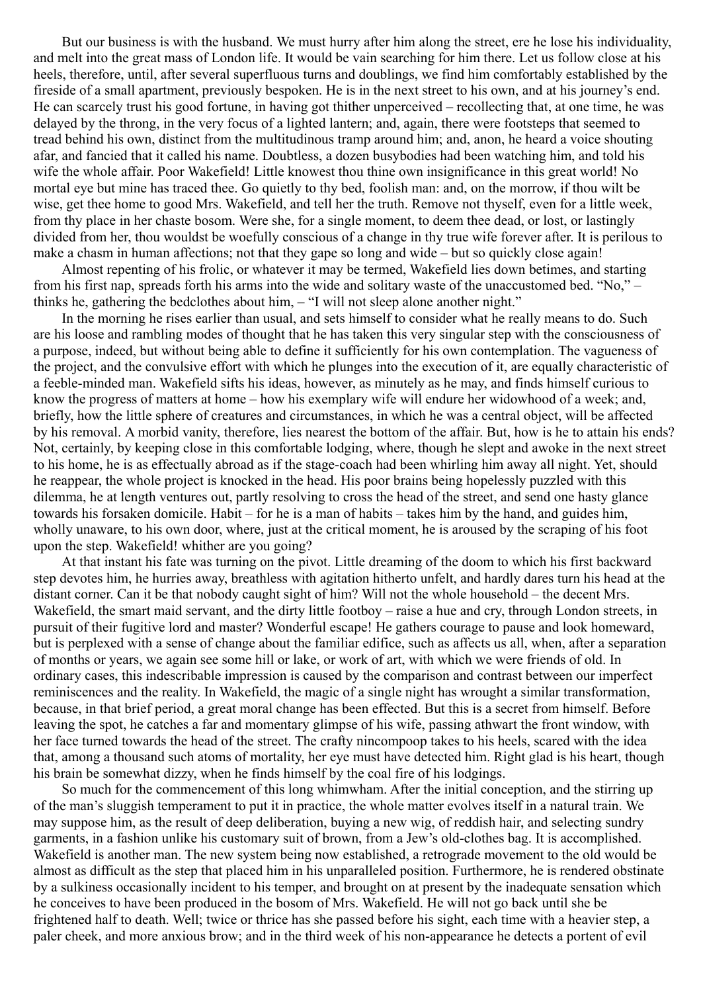But our business is with the husband. We must hurry after him along the street, ere he lose his individuality, and melt into the great mass of London life. It would be vain searching for him there. Let us follow close at his heels, therefore, until, after several superfluous turns and doublings, we find him comfortably established by the fireside of a small apartment, previously bespoken. He is in the next street to his own, and at his journey's end. He can scarcely trust his good fortune, in having got thither unperceived – recollecting that, at one time, he was delayed by the throng, in the very focus of a lighted lantern; and, again, there were footsteps that seemed to tread behind his own, distinct from the multitudinous tramp around him; and, anon, he heard a voice shouting afar, and fancied that it called his name. Doubtless, a dozen busybodies had been watching him, and told his wife the whole affair. Poor Wakefield! Little knowest thou thine own insignificance in this great world! No mortal eye but mine has traced thee. Go quietly to thy bed, foolish man: and, on the morrow, if thou wilt be wise, get thee home to good Mrs. Wakefield, and tell her the truth. Remove not thyself, even for a little week, from thy place in her chaste bosom. Were she, for a single moment, to deem thee dead, or lost, or lastingly divided from her, thou wouldst be woefully conscious of a change in thy true wife forever after. It is perilous to make a chasm in human affections; not that they gape so long and wide – but so quickly close again!

Almost repenting of his frolic, or whatever it may be termed, Wakefield lies down betimes, and starting from his first nap, spreads forth his arms into the wide and solitary waste of the unaccustomed bed. "No," – thinks he, gathering the bedclothes about him, – "I will not sleep alone another night."

In the morning he rises earlier than usual, and sets himself to consider what he really means to do. Such are his loose and rambling modes of thought that he has taken this very singular step with the consciousness of a purpose, indeed, but without being able to define it sufficiently for his own contemplation. The vagueness of the project, and the convulsive effort with which he plunges into the execution of it, are equally characteristic of a feeble-minded man. Wakefield sifts his ideas, however, as minutely as he may, and finds himself curious to know the progress of matters at home – how his exemplary wife will endure her widowhood of a week; and, briefly, how the little sphere of creatures and circumstances, in which he was a central object, will be affected by his removal. A morbid vanity, therefore, lies nearest the bottom of the affair. But, how is he to attain his ends? Not, certainly, by keeping close in this comfortable lodging, where, though he slept and awoke in the next street to his home, he is as effectually abroad as if the stage-coach had been whirling him away all night. Yet, should he reappear, the whole project is knocked in the head. His poor brains being hopelessly puzzled with this dilemma, he at length ventures out, partly resolving to cross the head of the street, and send one hasty glance towards his forsaken domicile. Habit – for he is a man of habits – takes him by the hand, and guides him, wholly unaware, to his own door, where, just at the critical moment, he is aroused by the scraping of his foot upon the step. Wakefield! whither are you going?

At that instant his fate was turning on the pivot. Little dreaming of the doom to which his first backward step devotes him, he hurries away, breathless with agitation hitherto unfelt, and hardly dares turn his head at the distant corner. Can it be that nobody caught sight of him? Will not the whole household – the decent Mrs. Wakefield, the smart maid servant, and the dirty little footboy – raise a hue and cry, through London streets, in pursuit of their fugitive lord and master? Wonderful escape! He gathers courage to pause and look homeward, but is perplexed with a sense of change about the familiar edifice, such as affects us all, when, after a separation of months or years, we again see some hill or lake, or work of art, with which we were friends of old. In ordinary cases, this indescribable impression is caused by the comparison and contrast between our imperfect reminiscences and the reality. In Wakefield, the magic of a single night has wrought a similar transformation, because, in that brief period, a great moral change has been effected. But this is a secret from himself. Before leaving the spot, he catches a far and momentary glimpse of his wife, passing athwart the front window, with her face turned towards the head of the street. The crafty nincompoop takes to his heels, scared with the idea that, among a thousand such atoms of mortality, her eye must have detected him. Right glad is his heart, though his brain be somewhat dizzy, when he finds himself by the coal fire of his lodgings.

So much for the commencement of this long whimwham. After the initial conception, and the stirring up of the man's sluggish temperament to put it in practice, the whole matter evolves itself in a natural train. We may suppose him, as the result of deep deliberation, buying a new wig, of reddish hair, and selecting sundry garments, in a fashion unlike his customary suit of brown, from a Jew's old-clothes bag. It is accomplished. Wakefield is another man. The new system being now established, a retrograde movement to the old would be almost as difficult as the step that placed him in his unparalleled position. Furthermore, he is rendered obstinate by a sulkiness occasionally incident to his temper, and brought on at present by the inadequate sensation which he conceives to have been produced in the bosom of Mrs. Wakefield. He will not go back until she be frightened half to death. Well; twice or thrice has she passed before his sight, each time with a heavier step, a paler cheek, and more anxious brow; and in the third week of his non-appearance he detects a portent of evil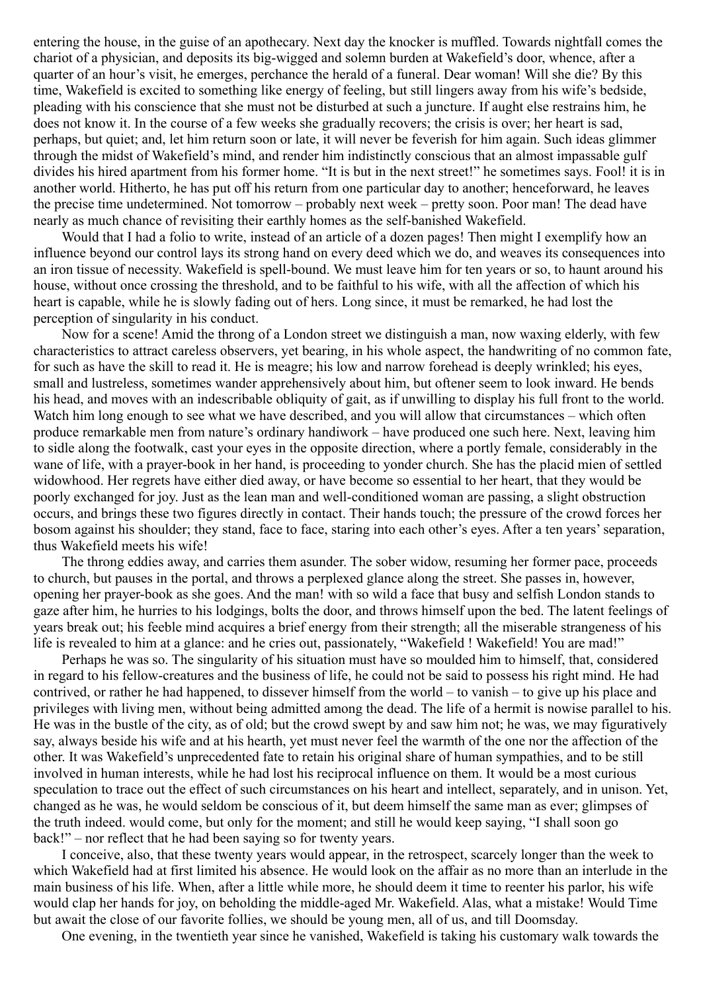entering the house, in the guise of an apothecary. Next day the knocker is muffled. Towards nightfall comes the chariot of a physician, and deposits its big-wigged and solemn burden at Wakefield's door, whence, after a quarter of an hour's visit, he emerges, perchance the herald of a funeral. Dear woman! Will she die? By this time, Wakefield is excited to something like energy of feeling, but still lingers away from his wife's bedside, pleading with his conscience that she must not be disturbed at such a juncture. If aught else restrains him, he does not know it. In the course of a few weeks she gradually recovers; the crisis is over; her heart is sad, perhaps, but quiet; and, let him return soon or late, it will never be feverish for him again. Such ideas glimmer through the midst of Wakefield's mind, and render him indistinctly conscious that an almost impassable gulf divides his hired apartment from his former home. "It is but in the next street!" he sometimes says. Fool! it is in another world. Hitherto, he has put off his return from one particular day to another; henceforward, he leaves the precise time undetermined. Not tomorrow – probably next week – pretty soon. Poor man! The dead have nearly as much chance of revisiting their earthly homes as the self-banished Wakefield.

Would that I had a folio to write, instead of an article of a dozen pages! Then might I exemplify how an influence beyond our control lays its strong hand on every deed which we do, and weaves its consequences into an iron tissue of necessity. Wakefield is spell-bound. We must leave him for ten years or so, to haunt around his house, without once crossing the threshold, and to be faithful to his wife, with all the affection of which his heart is capable, while he is slowly fading out of hers. Long since, it must be remarked, he had lost the perception of singularity in his conduct.

Now for a scene! Amid the throng of a London street we distinguish a man, now waxing elderly, with few characteristics to attract careless observers, yet bearing, in his whole aspect, the handwriting of no common fate, for such as have the skill to read it. He is meagre; his low and narrow forehead is deeply wrinkled; his eyes, small and lustreless, sometimes wander apprehensively about him, but oftener seem to look inward. He bends his head, and moves with an indescribable obliquity of gait, as if unwilling to display his full front to the world. Watch him long enough to see what we have described, and you will allow that circumstances – which often produce remarkable men from nature's ordinary handiwork – have produced one such here. Next, leaving him to sidle along the footwalk, cast your eyes in the opposite direction, where a portly female, considerably in the wane of life, with a prayer-book in her hand, is proceeding to yonder church. She has the placid mien of settled widowhood. Her regrets have either died away, or have become so essential to her heart, that they would be poorly exchanged for joy. Just as the lean man and well-conditioned woman are passing, a slight obstruction occurs, and brings these two figures directly in contact. Their hands touch; the pressure of the crowd forces her bosom against his shoulder; they stand, face to face, staring into each other's eyes. After a ten years' separation, thus Wakefield meets his wife!

The throng eddies away, and carries them asunder. The sober widow, resuming her former pace, proceeds to church, but pauses in the portal, and throws a perplexed glance along the street. She passes in, however, opening her prayer-book as she goes. And the man! with so wild a face that busy and selfish London stands to gaze after him, he hurries to his lodgings, bolts the door, and throws himself upon the bed. The latent feelings of years break out; his feeble mind acquires a brief energy from their strength; all the miserable strangeness of his life is revealed to him at a glance: and he cries out, passionately, "Wakefield! Wakefield! You are mad!"

Perhaps he was so. The singularity of his situation must have so moulded him to himself, that, considered in regard to his fellow-creatures and the business of life, he could not be said to possess his right mind. He had contrived, or rather he had happened, to dissever himself from the world – to vanish – to give up his place and privileges with living men, without being admitted among the dead. The life of a hermit is nowise parallel to his. He was in the bustle of the city, as of old; but the crowd swept by and saw him not; he was, we may figuratively say, always beside his wife and at his hearth, yet must never feel the warmth of the one nor the affection of the other. It was Wakefield's unprecedented fate to retain his original share of human sympathies, and to be still involved in human interests, while he had lost his reciprocal influence on them. It would be a most curious speculation to trace out the effect of such circumstances on his heart and intellect, separately, and in unison. Yet, changed as he was, he would seldom be conscious of it, but deem himself the same man as ever; glimpses of the truth indeed. would come, but only for the moment; and still he would keep saying, "I shall soon go back!" – nor reflect that he had been saying so for twenty years.

I conceive, also, that these twenty years would appear, in the retrospect, scarcely longer than the week to which Wakefield had at first limited his absence. He would look on the affair as no more than an interlude in the main business of his life. When, after a little while more, he should deem it time to reenter his parlor, his wife would clap her hands for joy, on beholding the middle-aged Mr. Wakefield. Alas, what a mistake! Would Time but await the close of our favorite follies, we should be young men, all of us, and till Doomsday.

One evening, in the twentieth year since he vanished, Wakefield is taking his customary walk towards the